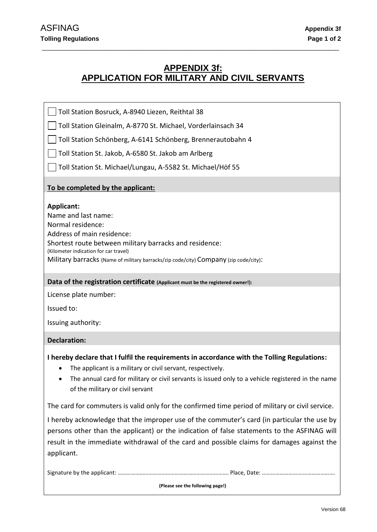# **APPENDIX 3f: APPLICATION FOR MILITARY AND CIVIL SERVANTS**

\_\_\_\_\_\_\_\_\_\_\_\_\_\_\_\_\_\_\_\_\_\_\_\_\_\_\_\_\_\_\_\_\_\_\_\_\_\_\_\_\_\_\_\_\_\_\_\_\_\_\_\_\_\_\_\_\_\_\_\_\_\_\_\_\_\_\_\_\_\_\_\_\_\_\_\_\_\_\_\_\_\_\_\_\_

Toll Station Bosruck, A-8940 Liezen, Reithtal 38

Toll Station Gleinalm, A-8770 St. Michael, Vorderlainsach 34

Toll Station Schönberg, A-6141 Schönberg, Brennerautobahn 4

Toll Station St. Jakob, A-6580 St. Jakob am Arlberg

Toll Station St. Michael/Lungau, A-5582 St. Michael/Höf 55

## **To be completed by the applicant:**

## **Applicant:**

Name and last name:

Normal residence:

Address of main residence:

Shortest route between military barracks and residence:

(Kilometer indication for car travel)

Military barracks (Name of military barracks/zip code/city) Company (zip code/city):

#### **Data of the registration certificate (Applicant must be the registered owner!):**

License plate number:

Issued to:

Issuing authority:

#### **Declaration:**

**I hereby declare that I fulfil the requirements in accordance with the Tolling Regulations:**

- The applicant is a military or civil servant, respectively.
- The annual card for military or civil servants is issued only to a vehicle registered in the name of the military or civil servant

The card for commuters is valid only for the confirmed time period of military or civil service.

I hereby acknowledge that the improper use of the commuter's card (in particular the use by persons other than the applicant) or the indication of false statements to the ASFINAG will result in the immediate withdrawal of the card and possible claims for damages against the applicant.

Signature by the applicant: …………………………………………………………………. Place, Date: …………………….…………………….

**(Please see the following page!)**